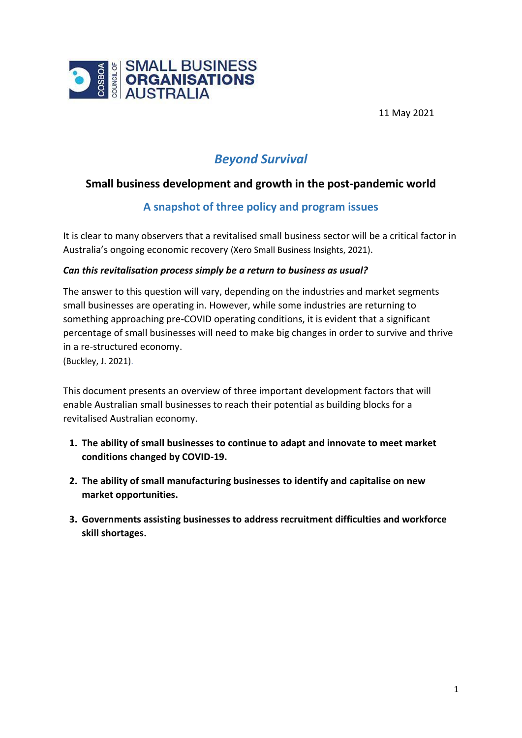

11 May 2021

# *Beyond Survival*

# **Small business development and growth in the post-pandemic world**

# **A snapshot of three policy and program issues**

It is clear to many observers that a revitalised small business sector will be a critical factor in Australia's ongoing economic recovery (Xero Small Business Insights, 2021).

### *Can this revitalisation process simply be a return to business as usual?*

The answer to this question will vary, depending on the industries and market segments small businesses are operating in. However, while some industries are returning to something approaching pre-COVID operating conditions, it is evident that a significant percentage of small businesses will need to make big changes in order to survive and thrive in a re-structured economy.

(Buckley, J. 2021).

This document presents an overview of three important development factors that will enable Australian small businesses to reach their potential as building blocks for a revitalised Australian economy.

- **1. The ability of small businesses to continue to adapt and innovate to meet market conditions changed by COVID-19.**
- **2. The ability of small manufacturing businesses to identify and capitalise on new market opportunities.**
- **3. Governments assisting businesses to address recruitment difficulties and workforce skill shortages.**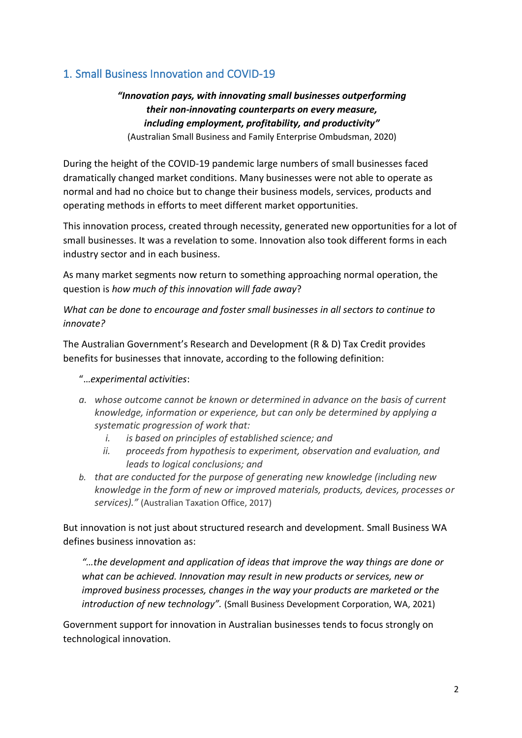# 1. Small Business Innovation and COVID-19

# *"Innovation pays, with innovating small businesses outperforming their non-innovating counterparts on every measure, including employment, profitability, and productivity"*

(Australian Small Business and Family Enterprise Ombudsman, 2020)

During the height of the COVID-19 pandemic large numbers of small businesses faced dramatically changed market conditions. Many businesses were not able to operate as normal and had no choice but to change their business models, services, products and operating methods in efforts to meet different market opportunities.

This innovation process, created through necessity, generated new opportunities for a lot of small businesses. It was a revelation to some. Innovation also took different forms in each industry sector and in each business.

As many market segments now return to something approaching normal operation, the question is *how much of this innovation will fade away*?

*What can be done to encourage and foster small businesses in all sectors to continue to innovate?*

The Australian Government's Research and Development (R & D) Tax Credit provides benefits for businesses that innovate, according to the following definition:

### "…*experimental activities*:

- *a. whose outcome cannot be known or determined in advance on the basis of current knowledge, information or experience, but can only be determined by applying a systematic progression of work that:*
	- *i. is based on principles of established science; and*
	- *ii. proceeds from hypothesis to experiment, observation and evaluation, and leads to logical conclusions; and*
- *b. that are conducted for the purpose of generating new knowledge (including new knowledge in the form of new or improved materials, products, devices, processes or services)."* (Australian Taxation Office, 2017)

But innovation is not just about structured research and development. Small Business WA defines business innovation as:

*"…the development and application of ideas that improve the way things are done or what can be achieved. Innovation may result in new products or services, new or improved business processes, changes in the way your products are marketed or the introduction of new technology".* (Small Business Development Corporation, WA, 2021)

Government support for innovation in Australian businesses tends to focus strongly on technological innovation.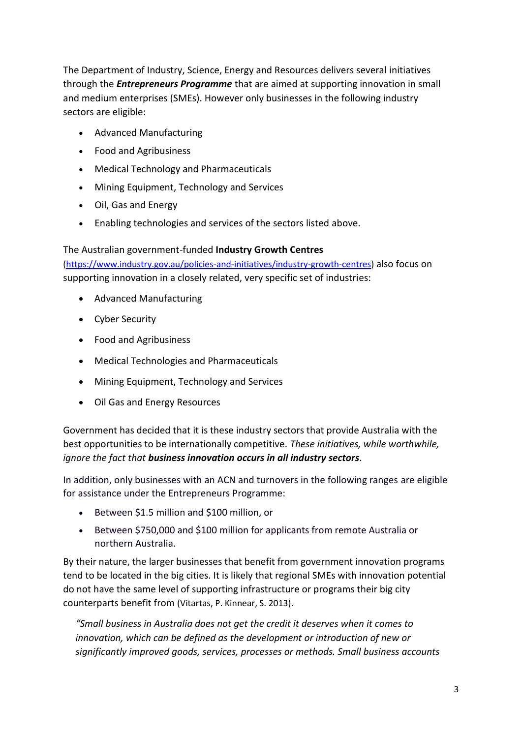The Department of Industry, Science, Energy and Resources delivers several initiatives through the *Entrepreneurs Programme* that are aimed at supporting innovation in small and medium enterprises (SMEs). However only businesses in the following industry sectors are eligible:

- Advanced Manufacturing
- Food and Agribusiness
- Medical Technology and Pharmaceuticals
- Mining Equipment, Technology and Services
- Oil, Gas and Energy
- Enabling technologies and services of the sectors listed above.

### The Australian government-funded **Industry Growth Centres**

[\(https://www.industry.gov.au/policies-and-initiatives/industry-growth-centres\)](https://www.industry.gov.au/policies-and-initiatives/industry-growth-centres) also focus on supporting innovation in a closely related, very specific set of industries:

- Advanced Manufacturing
- Cyber Security
- Food and Agribusiness
- Medical Technologies and Pharmaceuticals
- Mining Equipment, Technology and Services
- Oil Gas and Energy Resources

Government has decided that it is these industry sectors that provide Australia with the best opportunities to be internationally competitive. *These initiatives, while worthwhile, ignore the fact that business innovation occurs in all industry sectors*.

In addition, only businesses with an ACN and turnovers in the following ranges are eligible for assistance under the Entrepreneurs Programme:

- Between \$1.5 million and \$100 million, or
- Between \$750,000 and \$100 million for applicants from remote Australia or northern Australia.

By their nature, the larger businesses that benefit from government innovation programs tend to be located in the big cities. It is likely that regional SMEs with innovation potential do not have the same level of supporting infrastructure or programs their big city counterparts benefit from (Vitartas, P. Kinnear, S. 2013).

*"Small business in Australia does not get the credit it deserves when it comes to innovation, which can be defined as the development or introduction of new or significantly improved goods, services, processes or methods. Small business accounts*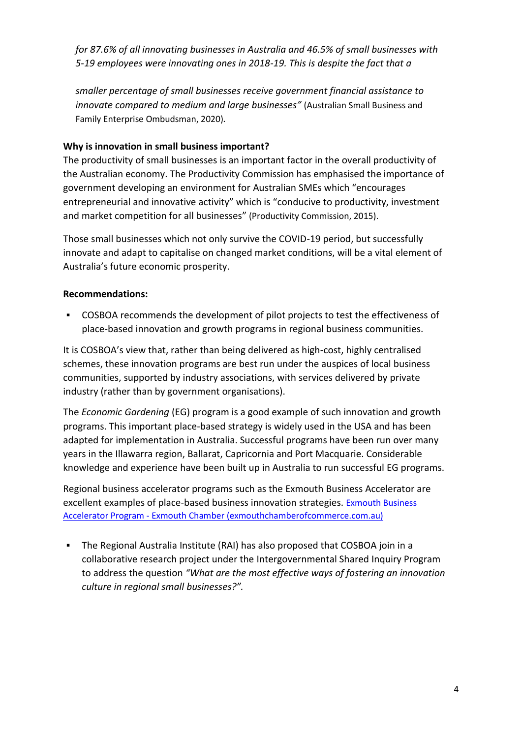*for 87.6% of all innovating businesses in Australia and 46.5% of small businesses with 5-19 employees were innovating ones in 2018-19. This is despite the fact that a* 

*smaller percentage of small businesses receive government financial assistance to innovate compared to medium and large businesses"* (Australian Small Business and Family Enterprise Ombudsman, 2020)*.*

### **Why is innovation in small business important?**

The productivity of small businesses is an important factor in the overall productivity of the Australian economy. The Productivity Commission has emphasised the importance of government developing an environment for Australian SMEs which "encourages entrepreneurial and innovative activity" which is "conducive to productivity, investment and market competition for all businesses" (Productivity Commission, 2015).

Those small businesses which not only survive the COVID-19 period, but successfully innovate and adapt to capitalise on changed market conditions, will be a vital element of Australia's future economic prosperity.

### **Recommendations:**

▪ COSBOA recommends the development of pilot projects to test the effectiveness of place-based innovation and growth programs in regional business communities.

It is COSBOA's view that, rather than being delivered as high-cost, highly centralised schemes, these innovation programs are best run under the auspices of local business communities, supported by industry associations, with services delivered by private industry (rather than by government organisations).

The *Economic Gardening* (EG) program is a good example of such innovation and growth programs. This important place-based strategy is widely used in the USA and has been adapted for implementation in Australia. Successful programs have been run over many years in the Illawarra region, Ballarat, Capricornia and Port Macquarie. Considerable knowledge and experience have been built up in Australia to run successful EG programs.

Regional business accelerator programs such as the Exmouth Business Accelerator are excellent examples of place-based business innovation strategies. Exmouth Business Accelerator Program - [Exmouth Chamber \(exmouthchamberofcommerce.com.au\)](https://www.exmouthchamberofcommerce.com.au/project/exmouth-business-accelerator-program/)

▪ The Regional Australia Institute (RAI) has also proposed that COSBOA join in a collaborative research project under the Intergovernmental Shared Inquiry Program to address the question *"What are the most effective ways of fostering an innovation culture in regional small businesses?".*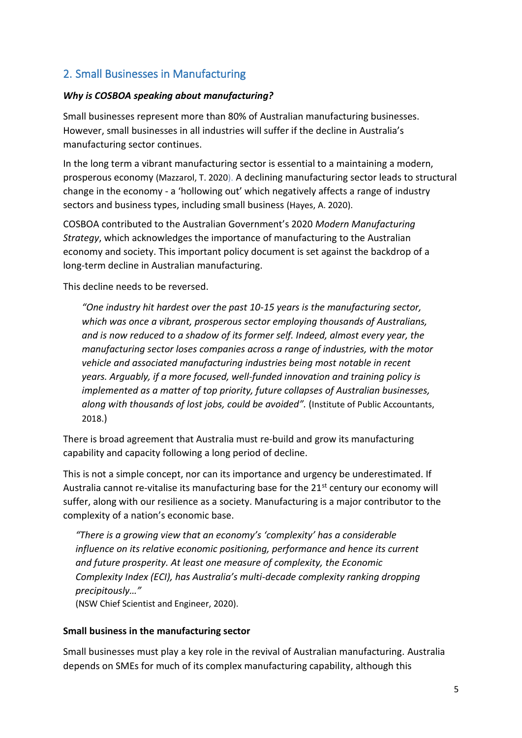# 2. Small Businesses in Manufacturing

### *Why is COSBOA speaking about manufacturing?*

Small businesses represent more than 80% of Australian manufacturing businesses. However, small businesses in all industries will suffer if the decline in Australia's manufacturing sector continues.

In the long term a vibrant manufacturing sector is essential to a maintaining a modern, prosperous economy (Mazzarol, T. 2020). A declining manufacturing sector leads to structural change in the economy - a 'hollowing out' which negatively affects a range of industry sectors and business types, including small business (Hayes, A. 2020).

COSBOA contributed to the Australian Government's 2020 *Modern Manufacturing Strategy*, which acknowledges the importance of manufacturing to the Australian economy and society. This important policy document is set against the backdrop of a long-term decline in Australian manufacturing.

This decline needs to be reversed.

*"One industry hit hardest over the past 10-15 years is the manufacturing sector, which was once a vibrant, prosperous sector employing thousands of Australians, and is now reduced to a shadow of its former self. Indeed, almost every year, the manufacturing sector loses companies across a range of industries, with the motor vehicle and associated manufacturing industries being most notable in recent years. Arguably, if a more focused, well-funded innovation and training policy is implemented as a matter of top priority, future collapses of Australian businesses, along with thousands of lost jobs, could be avoided".* (Institute of Public Accountants, 2018.)

There is broad agreement that Australia must re-build and grow its manufacturing capability and capacity following a long period of decline.

This is not a simple concept, nor can its importance and urgency be underestimated. If Australia cannot re-vitalise its manufacturing base for the  $21<sup>st</sup>$  century our economy will suffer, along with our resilience as a society. Manufacturing is a major contributor to the complexity of a nation's economic base.

*"There is a growing view that an economy's 'complexity' has a considerable influence on its relative economic positioning, performance and hence its current and future prosperity. At least one measure of complexity, the Economic Complexity Index (ECI), has Australia's multi-decade complexity ranking dropping precipitously…"*

(NSW Chief Scientist and Engineer, 2020).

### **Small business in the manufacturing sector**

Small businesses must play a key role in the revival of Australian manufacturing. Australia depends on SMEs for much of its complex manufacturing capability, although this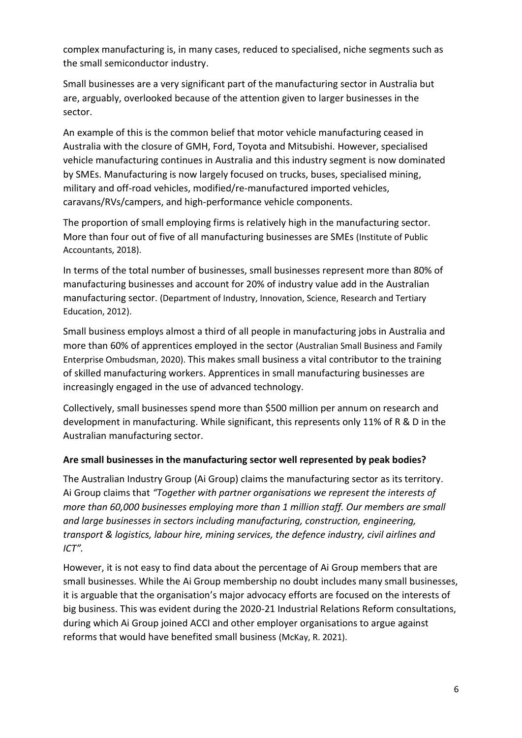complex manufacturing is, in many cases, reduced to specialised, niche segments such as the small semiconductor industry.

Small businesses are a very significant part of the manufacturing sector in Australia but are, arguably, overlooked because of the attention given to larger businesses in the sector.

An example of this is the common belief that motor vehicle manufacturing ceased in Australia with the closure of GMH, Ford, Toyota and Mitsubishi. However, specialised vehicle manufacturing continues in Australia and this industry segment is now dominated by SMEs. Manufacturing is now largely focused on trucks, buses, specialised mining, military and off-road vehicles, modified/re-manufactured imported vehicles, caravans/RVs/campers, and high-performance vehicle components.

The proportion of small employing firms is relatively high in the manufacturing sector. More than four out of five of all manufacturing businesses are SMEs (Institute of Public Accountants, 2018).

In terms of the total number of businesses, small businesses represent more than 80% of manufacturing businesses and account for 20% of industry value add in the Australian manufacturing sector. (Department of Industry, Innovation, Science, Research and Tertiary Education, 2012).

Small business employs almost a third of all people in manufacturing jobs in Australia and more than 60% of apprentices employed in the sector (Australian Small Business and Family Enterprise Ombudsman, 2020). This makes small business a vital contributor to the training of skilled manufacturing workers. Apprentices in small manufacturing businesses are increasingly engaged in the use of advanced technology.

Collectively, small businesses spend more than \$500 million per annum on research and development in manufacturing. While significant, this represents only 11% of R & D in the Australian manufacturing sector.

### **Are small businesses in the manufacturing sector well represented by peak bodies?**

The Australian Industry Group (Ai Group) claims the manufacturing sector as its territory. Ai Group claims that *"Together with partner organisations we represent the interests of more than 60,000 businesses employing more than 1 million staff. Our members are small and large businesses in sectors including manufacturing, construction, engineering, transport & logistics, labour hire, mining services, the defence industry, civil airlines and ICT".*

However, it is not easy to find data about the percentage of Ai Group members that are small businesses. While the Ai Group membership no doubt includes many small businesses, it is arguable that the organisation's major advocacy efforts are focused on the interests of big business. This was evident during the 2020-21 Industrial Relations Reform consultations, during which Ai Group joined ACCI and other employer organisations to argue against reforms that would have benefited small business (McKay, R. 2021).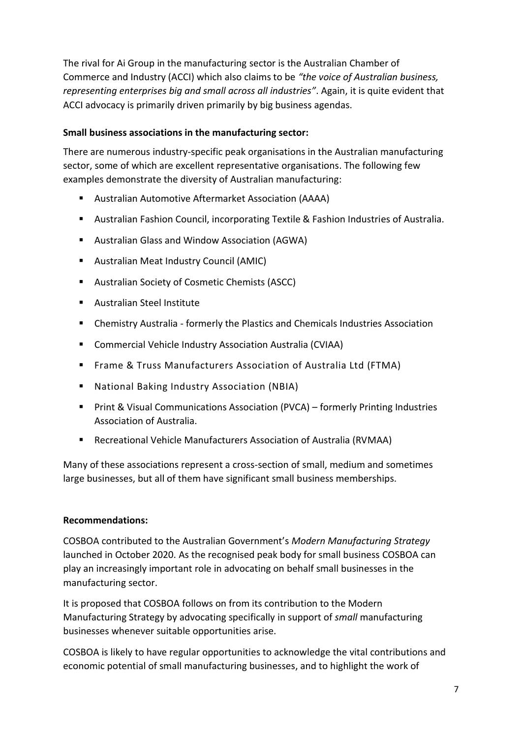The rival for Ai Group in the manufacturing sector is the Australian Chamber of Commerce and Industry (ACCI) which also claims to be *"the voice of Australian business, representing enterprises big and small across all industries"*. Again, it is quite evident that ACCI advocacy is primarily driven primarily by big business agendas.

### **Small business associations in the manufacturing sector:**

There are numerous industry-specific peak organisations in the Australian manufacturing sector, some of which are excellent representative organisations. The following few examples demonstrate the diversity of Australian manufacturing:

- Australian Automotive Aftermarket Association (AAAA)
- Australian Fashion Council, incorporating Textile & Fashion Industries of Australia.
- Australian Glass and Window Association (AGWA)
- Australian Meat Industry Council (AMIC)
- Australian Society of Cosmetic Chemists (ASCC)
- Australian Steel Institute
- Chemistry Australia formerly the Plastics and Chemicals Industries Association
- Commercial Vehicle Industry Association Australia (CVIAA)
- Frame & Truss Manufacturers Association of Australia Ltd (FTMA)
- National Baking Industry Association (NBIA)
- Print & Visual Communications Association (PVCA) formerly Printing Industries Association of Australia.
- Recreational Vehicle Manufacturers Association of Australia (RVMAA)

Many of these associations represent a cross-section of small, medium and sometimes large businesses, but all of them have significant small business memberships.

### **Recommendations:**

COSBOA contributed to the Australian Government's *Modern Manufacturing Strategy* launched in October 2020. As the recognised peak body for small business COSBOA can play an increasingly important role in advocating on behalf small businesses in the manufacturing sector.

It is proposed that COSBOA follows on from its contribution to the Modern Manufacturing Strategy by advocating specifically in support of *small* manufacturing businesses whenever suitable opportunities arise.

COSBOA is likely to have regular opportunities to acknowledge the vital contributions and economic potential of small manufacturing businesses, and to highlight the work of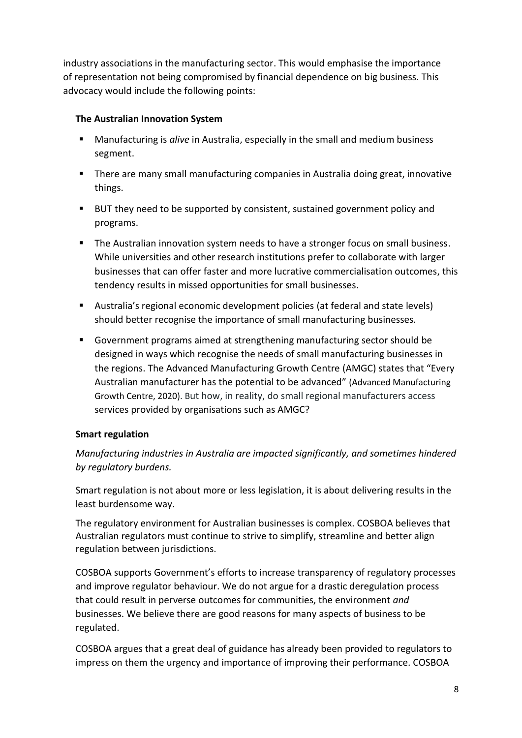industry associations in the manufacturing sector. This would emphasise the importance of representation not being compromised by financial dependence on big business. This advocacy would include the following points:

### **The Australian Innovation System**

- Manufacturing is *alive* in Australia, especially in the small and medium business segment.
- There are many small manufacturing companies in Australia doing great, innovative things.
- BUT they need to be supported by consistent, sustained government policy and programs.
- The Australian innovation system needs to have a stronger focus on small business. While universities and other research institutions prefer to collaborate with larger businesses that can offer faster and more lucrative commercialisation outcomes, this tendency results in missed opportunities for small businesses.
- Australia's regional economic development policies (at federal and state levels) should better recognise the importance of small manufacturing businesses.
- Government programs aimed at strengthening manufacturing sector should be designed in ways which recognise the needs of small manufacturing businesses in the regions. The Advanced Manufacturing Growth Centre (AMGC) states that "Every Australian manufacturer has the potential to be advanced" [\(Advanced](https://www.amgc.org.au/our-purpose/about-advanced-manufacturing/) Manufacturing Growth Centre, 2020). But how, in reality, do small regional manufacturers access services provided by organisations such as AMGC?

### **Smart regulation**

*Manufacturing industries in Australia are impacted significantly, and sometimes hindered by regulatory burdens.*

Smart regulation is not about more or less legislation, it is about delivering results in the least burdensome way.

The regulatory environment for Australian businesses is complex. COSBOA believes that Australian regulators must continue to strive to simplify, streamline and better align regulation between jurisdictions.

COSBOA supports Government's efforts to increase transparency of regulatory processes and improve regulator behaviour. We do not argue for a drastic deregulation process that could result in perverse outcomes for communities, the environment *and* businesses. We believe there are good reasons for many aspects of business to be regulated.

COSBOA argues that a great deal of guidance has already been provided to regulators to impress on them the urgency and importance of improving their performance. COSBOA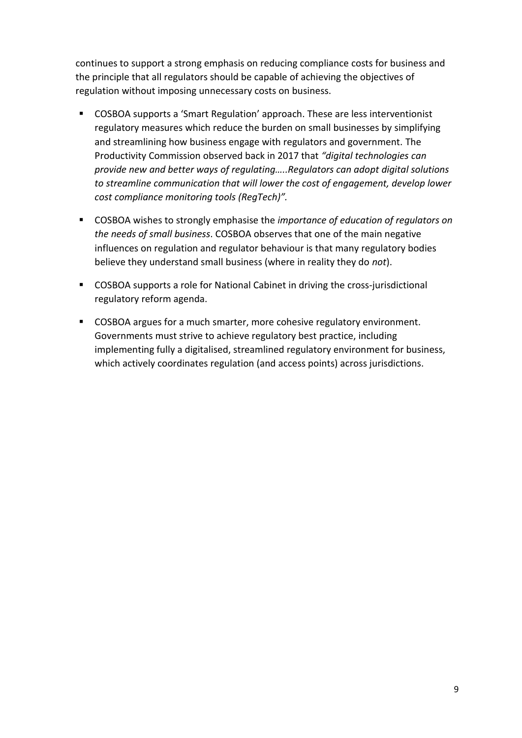continues to support a strong emphasis on reducing compliance costs for business and the principle that all regulators should be capable of achieving the objectives of regulation without imposing unnecessary costs on business.

- COSBOA supports a 'Smart Regulation' approach. These are less interventionist regulatory measures which reduce the burden on small businesses by simplifying and streamlining how business engage with regulators and government. The Productivity Commission observed back in 2017 that *"digital technologies can provide new and better ways of regulating…..Regulators can adopt digital solutions to streamline communication that will lower the cost of engagement, develop lower cost compliance monitoring tools (RegTech)".*
- COSBOA wishes to strongly emphasise the *importance of education of requlators on the needs of small business*. COSBOA observes that one of the main negative influences on regulation and regulator behaviour is that many regulatory bodies believe they understand small business (where in reality they do *not*).
- COSBOA supports a role for National Cabinet in driving the cross-jurisdictional regulatory reform agenda.
- COSBOA argues for a much smarter, more cohesive regulatory environment. Governments must strive to achieve regulatory best practice, including implementing fully a digitalised, streamlined regulatory environment for business, which actively coordinates regulation (and access points) across jurisdictions.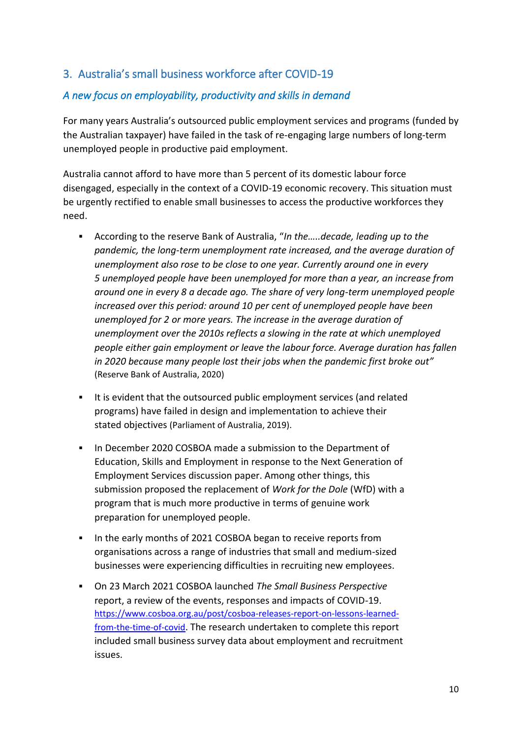# 3. Australia's small business workforce after COVID-19

# *A new focus on employability, productivity and skills in demand*

For many years Australia's outsourced public employment services and programs (funded by the Australian taxpayer) have failed in the task of re-engaging large numbers of long-term unemployed people in productive paid employment.

Australia cannot afford to have more than 5 percent of its domestic labour force disengaged, especially in the context of a COVID-19 economic recovery. This situation must be urgently rectified to enable small businesses to access the productive workforces they need.

- According to the reserve Bank of Australia, "In the.....decade, leading up to the *pandemic, the long-term unemployment rate increased, and the average duration of unemployment also rose to be close to one year. Currently around one in every 5 unemployed people have been unemployed for more than a year, an increase from around one in every 8 a decade ago. The share of very long-term unemployed people increased over this period: around 10 per cent of unemployed people have been unemployed for 2 or more years. The increase in the average duration of unemployment over the 2010s reflects a slowing in the rate at which unemployed people either gain employment or leave the labour force. Average duration has fallen in 2020 because many people lost their jobs when the pandemic first broke out"* (Reserve Bank of Australia, 2020)
- It is evident that the outsourced public employment services (and related programs) have failed in design and implementation to achieve their stated objectives (Parliament of Australia, 201[9\).](https://www.aph.gov.au/Parliamentary_Business/Committees/Senate/Education_and_Employment/JobActive2018/Report)
- **.** In December 2020 COSBOA made a submission to the Department of Education, Skills and Employment in response to the Next Generation of Employment Services discussion paper. Among other things, this submission proposed the replacement of *Work for the Dole* (WfD) with a program that is much more productive in terms of genuine work preparation for unemployed people.
- In the early months of 2021 COSBOA began to receive reports from organisations across a range of industries that small and medium-sized businesses were experiencing difficulties in recruiting new employees.
- On 23 March 2021 COSBOA launched *The Small Business Perspective* report, a review of the events, responses and impacts of COVID-19. [https://www.cosboa.org.au/post/cosboa-releases-report-on-lessons-learned](https://www.cosboa.org.au/post/cosboa-releases-report-on-lessons-learned-from-the-time-of-covid)[from-the-time-of-covid](https://www.cosboa.org.au/post/cosboa-releases-report-on-lessons-learned-from-the-time-of-covid). The research undertaken to complete this report included small business survey data about employment and recruitment issues.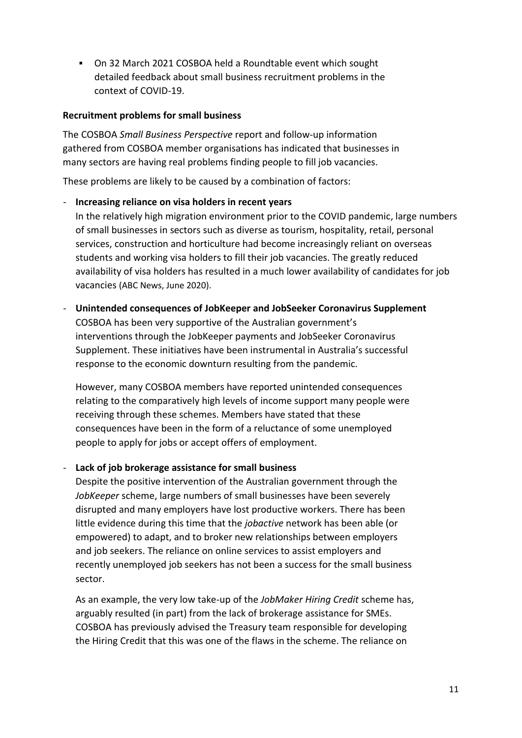▪ On 32 March 2021 COSBOA held a Roundtable event which sought detailed feedback about small business recruitment problems in the context of COVID-19.

#### **Recruitment problems for small business**

The COSBOA *Small Business Perspective* report and follow-up information gathered from COSBOA member organisations has indicated that businesses in many sectors are having real problems finding people to fill job vacancies.

These problems are likely to be caused by a combination of factors:

#### - **Increasing reliance on visa holders in recent years**

In the relatively high migration environment prior to the COVID pandemic, large numbers of small businesses in sectors such as diverse as tourism, hospitality, retail, personal services, construction and horticulture had become increasingly reliant on overseas students and working visa holders to fill their job vacancies. The greatly reduced availability of visa holders has resulted in a much lower availability of candidates for job vacancies (ABC News, June 2020).

#### - **Unintended consequences of JobKeeper and JobSeeker Coronavirus Supplement**

COSBOA has been very supportive of the Australian government's interventions through the JobKeeper payments and JobSeeker Coronavirus Supplement. These initiatives have been instrumental in Australia's successful response to the economic downturn resulting from the pandemic.

However, many COSBOA members have reported unintended consequences relating to the comparatively high levels of income support many people were receiving through these schemes. Members have stated that these consequences have been in the form of a reluctance of some unemployed people to apply for jobs or accept offers of employment.

### - **Lack of job brokerage assistance for small business**

Despite the positive intervention of the Australian government through the *JobKeeper* scheme, large numbers of small businesses have been severely disrupted and many employers have lost productive workers. There has been little evidence during this time that the *jobactive* network has been able (or empowered) to adapt, and to broker new relationships between employers and job seekers. The reliance on online services to assist employers and recently unemployed job seekers has not been a success for the small business sector.

As an example, the very low take-up of the *JobMaker Hiring Credit* scheme has, arguably resulted (in part) from the lack of brokerage assistance for SMEs. COSBOA has previously advised the Treasury team responsible for developing the Hiring Credit that this was one of the flaws in the scheme. The reliance on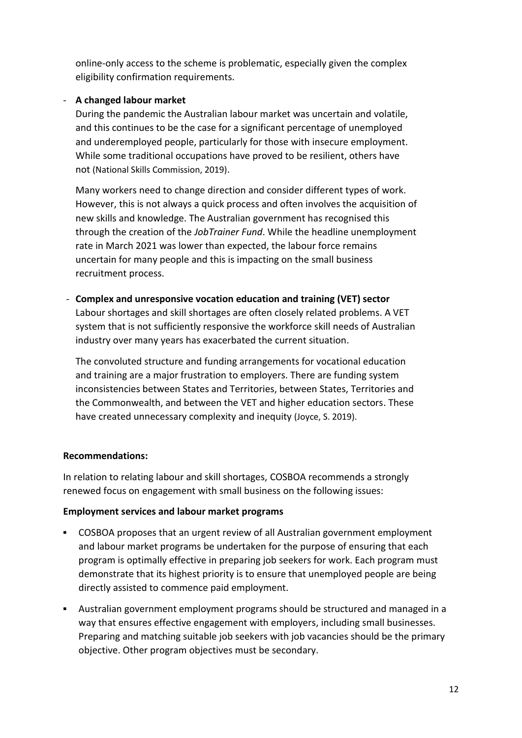online-only access to the scheme is problematic, especially given the complex eligibility confirmation requirements.

### - **A changed labour market**

During the pandemic the Australian labour market was uncertain and volatile, and this continues to be the case for a significant percentage of unemployed and underemployed people, particularly for those with insecure employment. While some traditional occupations have proved to be resilient, others have not (National Skills Commission, 2019).

Many workers need to change direction and consider different types of work. However, this is not always a quick process and often involves the acquisition of new skills and knowledge. The Australian government has recognised this through the creation of the *JobTrainer Fund*. While the headline unemployment rate in March 2021 was lower than expected, the labour force remains uncertain for many people and this is impacting on the small business recruitment process.

- **Complex and unresponsive vocation education and training (VET) sector** Labour shortages and skill shortages are often closely related problems. A VET system that is not sufficiently responsive the workforce skill needs of Australian industry over many years has exacerbated the current situation.

The convoluted structure and funding arrangements for vocational education and training are a major frustration to employers. There are funding system inconsistencies between States and Territories, between States, Territories and the Commonwealth, and between the VET and higher education sectors. These have created unnecessary complexity and inequity (Joyce, S. 2019).

#### **Recommendations:**

In relation to relating labour and skill shortages, COSBOA recommends a strongly renewed focus on engagement with small business on the following issues:

#### **Employment services and labour market programs**

- COSBOA proposes that an urgent review of all Australian government employment and labour market programs be undertaken for the purpose of ensuring that each program is optimally effective in preparing job seekers for work. Each program must demonstrate that its highest priority is to ensure that unemployed people are being directly assisted to commence paid employment.
- Australian government employment programs should be structured and managed in a way that ensures effective engagement with employers, including small businesses. Preparing and matching suitable job seekers with job vacancies should be the primary objective. Other program objectives must be secondary.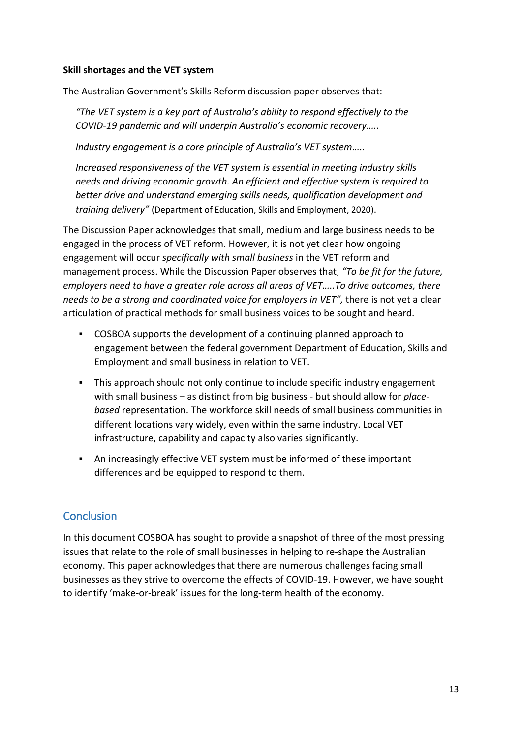#### **Skill shortages and the VET system**

The Australian Government's Skills Reform discussion paper observes that:

*"The VET system is a key part of Australia's ability to respond effectively to the COVID-19 pandemic and will underpin Australia's economic recovery…..*

*Industry engagement is a core principle of Australia's VET system…..*

*Increased responsiveness of the VET system is essential in meeting industry skills needs and driving economic growth. An efficient and effective system is required to better drive and understand emerging skills needs, qualification development and training delivery"* (Department of Education, Skills and Employment, 2020).

The Discussion Paper acknowledges that small, medium and large business needs to be engaged in the process of VET reform. However, it is not yet clear how ongoing engagement will occur *specifically with small business* in the VET reform and management process. While the Discussion Paper observes that, *"To be fit for the future, employers need to have a greater role across all areas of VET…..To drive outcomes, there needs to be a strong and coordinated voice for employers in VET",* there is not yet a clear articulation of practical methods for small business voices to be sought and heard.

- COSBOA supports the development of a continuing planned approach to engagement between the federal government Department of Education, Skills and Employment and small business in relation to VET.
- This approach should not only continue to include specific industry engagement with small business – as distinct from big business - but should allow for *placebased* representation. The workforce skill needs of small business communities in different locations vary widely, even within the same industry. Local VET infrastructure, capability and capacity also varies significantly.
- An increasingly effective VET system must be informed of these important differences and be equipped to respond to them.

# **Conclusion**

In this document COSBOA has sought to provide a snapshot of three of the most pressing issues that relate to the role of small businesses in helping to re-shape the Australian economy. This paper acknowledges that there are numerous challenges facing small businesses as they strive to overcome the effects of COVID-19. However, we have sought to identify 'make-or-break' issues for the long-term health of the economy.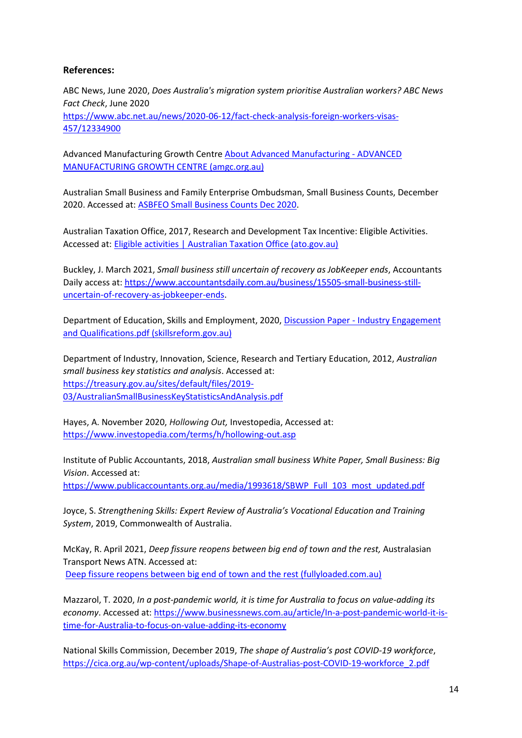#### **References:**

ABC News, June 2020, *Does Australia's migration system prioritise Australian workers? ABC News Fact Check*, June 2020 [https://www.abc.net.au/news/2020-06-12/fact-check-analysis-foreign-workers-visas-](https://www.abc.net.au/news/2020-06-12/fact-check-analysis-foreign-workers-visas-457/12334900)[457/12334900](https://www.abc.net.au/news/2020-06-12/fact-check-analysis-foreign-workers-visas-457/12334900)

Advanced Manufacturing Growth Centre [About Advanced Manufacturing -](https://www.amgc.org.au/our-purpose/about-advanced-manufacturing/) ADVANCED [MANUFACTURING GROWTH CENTRE \(amgc.org.au\)](https://www.amgc.org.au/our-purpose/about-advanced-manufacturing/)

Australian Small Business and Family Enterprise Ombudsman, Small Business Counts, December 2020. Accessed at: [ASBFEO Small Business Counts Dec 2020.](https://www.asbfeo.gov.au/sites/default/files/ASBFEO%20Small%20Business%20Counts%20Dec%202020%20v2.pdf)

Australian Taxation Office, 2017, Research and Development Tax Incentive: Eligible Activities. Accessed at: [Eligible activities | Australian Taxation Office \(ato.gov.au\)](https://www.ato.gov.au/Business/Research-and-development-tax-incentive/Eligibility/Eligible-activities/#:~:text=Research%20and%20development%20activities%20must%20meet%20certain%20criteria,observation%20and%20evaluation%2C%20and%20leads%20to%20logical%20conclusions)

Buckley, J. March 2021, *Small business still uncertain of recovery as JobKeeper ends*, Accountants Daily access at: [https://www.accountantsdaily.com.au/business/15505-small-business-still](https://www.accountantsdaily.com.au/business/15505-small-business-still-uncertain-of-recovery-as-jobkeeper-ends)[uncertain-of-recovery-as-jobkeeper-ends.](https://www.accountantsdaily.com.au/business/15505-small-business-still-uncertain-of-recovery-as-jobkeeper-ends)

Department of Education, Skills and Employment, 2020, Discussion Paper - Industry Engagement [and Qualifications.pdf \(skillsreform.gov.au\)](https://www.skillsreform.gov.au/images/documents/Discussion%20Paper%20-%20Industry%20Engagement%20and%20Qualifications.pdf)

Department of Industry, Innovation, Science, Research and Tertiary Education, 2012, *Australian small business key statistics and analysis*. Accessed at: [https://treasury.gov.au/sites/default/files/2019-](https://treasury.gov.au/sites/default/files/2019-03/AustralianSmallBusinessKeyStatisticsAndAnalysis.pdf) [03/AustralianSmallBusinessKeyStatisticsAndAnalysis.pdf](https://treasury.gov.au/sites/default/files/2019-03/AustralianSmallBusinessKeyStatisticsAndAnalysis.pdf)

Hayes, A. November 2020, *Hollowing Out,* Investopedia, Accessed at: <https://www.investopedia.com/terms/h/hollowing-out.asp>

Institute of Public Accountants, 2018, *Australian small business White Paper, Small Business: Big Vision*. Accessed at:

[https://www.publicaccountants.org.au/media/1993618/SBWP\\_Full\\_103\\_most\\_updated.pdf](https://www.publicaccountants.org.au/media/1993618/SBWP_Full_103_most_updated.pdf)

Joyce, S. *Strengthening Skills: Expert Review of Australia's Vocational Education and Training System*, 2019, Commonwealth of Australia.

McKay, R. April 2021, *Deep fissure reopens between big end of town and the rest,* Australasian Transport News ATN. Accessed at: [Deep fissure reopens between big end of town and the rest \(fullyloaded.com.au\)](https://www.fullyloaded.com.au/industry-news/2104/deep-fissure-reopens-between-big-end-of-town-and-the-rest)

Mazzarol, T. 2020, *In a post-pandemic world, it is time for Australia to focus on value-adding its economy*. Accessed at: [https://www.businessnews.com.au/article/In-a-post-pandemic-world-it-is](https://www.businessnews.com.au/article/In-a-post-pandemic-world-it-is-time-for-Australia-to-focus-on-value-adding-its-economy)[time-for-Australia-to-focus-on-value-adding-its-economy](https://www.businessnews.com.au/article/In-a-post-pandemic-world-it-is-time-for-Australia-to-focus-on-value-adding-its-economy)

National Skills Commission, December 2019, *The shape of Australia's post COVID-19 workforce*, [https://cica.org.au/wp-content/uploads/Shape-of-Australias-post-COVID-19-workforce\\_2.pdf](https://cica.org.au/wp-content/uploads/Shape-of-Australias-post-COVID-19-workforce_2.pdf)